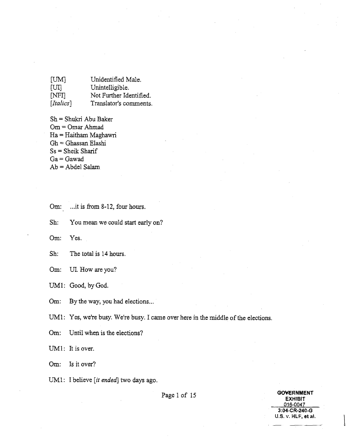| [UM]      | Unidentified Male.      |
|-----------|-------------------------|
| [UI]      | Unintelligible.         |
| [NFI]     | Not Further Identified. |
| [Italics] | Translator's comments.  |

- Sh = Shukri Abu Baker Om = Omar Ahrnad Ha = Haitham Maghawri Gh = Ghassan Elashi Ss = Sheik Sharif  $Ga =$  Gawad  $Ab = Abdel$  Salam
- **Om:** ... it is from 8-12, four hours.

Sh: You mean we could start early on?

**Om:** *Yes.* 

Om: UI. How are you?

UM1: Good, by God.

Om: By the way, you had elections...

UM1: Yes, we're busy. We're busy. I came over here in the middle of the elections.

Om: Until when is the elections?

UM1: It is over.

Om: Is it over?

UM1: I believe [it ended] two days ago.

Page 1 of 15

**GOVERNMENT EXHIBIT** 016-0047 3:04-CR-240-G **1J.S. v. HLF, eta!.** I

**Sh:** The total is 14 hours.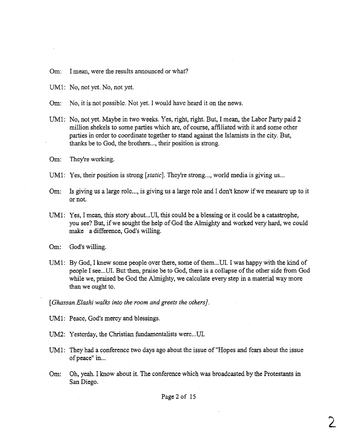Om: I mean, were the results announced or what?

UMl: No, not yet. No, not yet.

Om: No, it is not possible. Not yet. I would have heard it on the news.

- UM1: No, not yet. Maybe in two weeks. Yes, right, right. But, I mean, the Labor Party paid **2**  million shekels to some parties which are, of course, affiliated with it and some other parties in order to coordinate together to stand against the Islamists in the city. But, thanks be to God, the brothers..., their position is strong.
- 'Om: They're working.
- UM1: Yes, their position is strong *[static*]. They're strong..., world media is giving us...
- Om: Is giving us a large role..., is giving us a large role and I don't know if we measure up to it or not.
- UMl: Yes, I mean, this story about ... **UI,** this could be a blessing or it could be a catastrophe, you see? But, if we sought the help of God the Almighty and worked very hard, we could make a difference, God's willing.

Om: God's willing.

UM1: By God, I knew some people over there, some of them,..UI. I was happy with the kind of people I see... UI. But then, praise be to God, there is a collapse of the other side from God while we, praised be God the Almighty, we calculate every **step** in a material way more than we ought to.

[Ghassan Elashi walks into the room and greets the others].

- UMl: Peace, God's mercy and blessings.
- UM2: Yesterday, the Christian fundamentalists were...UI.
- UM1: They had a conference two days ago about the issue of "Hopes and fears about the issue of peace" in...
- Om: Oh, yeah. I know about it. The conference which was broadcasted by the Protestants in **San** Diego.

Page 2 of 15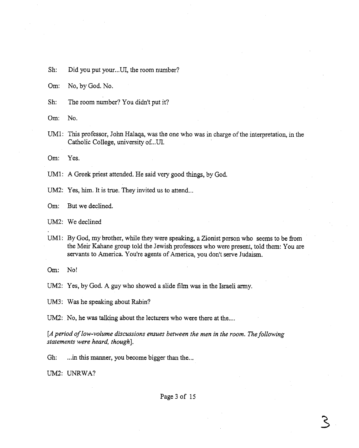Sh: Did you put your...UI, the room number?

Om: No, by God. No.

Sh: The room number? You didn't put it?

Om: No.

UM1: This professor, John Halaqa, was the one who was in charge of the interpretation, in the Catholic College, university of...UI.

Om: Yes.

UM1: A Greek priest attended. He said very good things, by God.

UM2: Yes, him. It is true. They invited us to attend...

Om: But we declined.

UM2: We declined

UM1: By God, my brother, while they were speaking, a Zionist person who seems to be from the Meir Kahane group told the Jewish professors who were present, told them: You are servants to America. You're agents of America, you don't serve Judaism.

Om: No!

UM2: Yes, by God. **A** guy who showed a slide film was in the Israeli army.

UM3: Was he speaking about Rabin?

UM2: No, he was talking about the lecturers who were there at the....

*[A period of low-volume discussions ensues between the men in the room. The following statements were heard, though].* 

Gh: ... in this manner, you become bigger than the...

**UM2:** UNRWA?

Page 3 of 15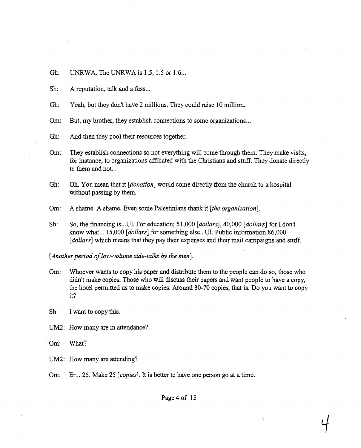Gh: UNRWA. The UNRWA is 1.5, 1.5 or 1.6...

Sh: A reputation, talk and a fuss...

Gh: Yeah, but they don't have 2 millions. They could raise 10 million.

Om: But, my brother, they establish connections to some organizations...

Gh: And then they pool their resources together.

Om: They establish connections so not everything will come through them. They make visits, for instance, to organizations affiliated with the Christians and stuff. They donate directly to them and not...

Gh: Oh. You mean that it *[donation]* would come directly from the church to a hospital without passing by them.

**Om:** A shame. **A** shame. Even some Palestinians thank it *[the arganization].* 

Sh: So, the financing is ... UI. For education; 51,000 *[dollars],* 40,000 *[dollars]* for I don't know what ... 15,000 *[dollars]* for something else...UI. Public information 86,000 *[dollars]* which means that they pay their expenses and their mail campaigns and stuff.

[Another period of low-volume side-talks by the men].

**Om:** Whoever wants to copy his paper and distribute them to the people can do so, those who didn't make copies. Those who will discuss their papers and want people to have a copy, the hotel permitted us to make copies. Around 30-70 copies, that is. Do you want to copy it?

Sh: I **want** to copy this.

**UM2:** How many are in attendance?

**Om:** What?

**UM2:** How many are attending?

Om: Er... 25. Make 25 *[copies]*. It is better to have one person go at a time.

Page 4 of 15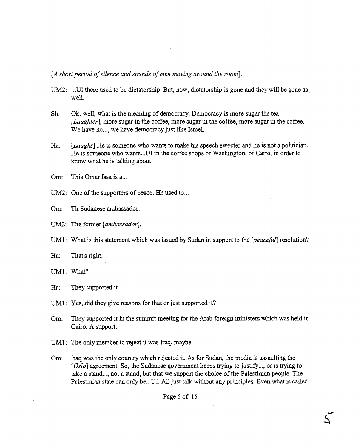*[A short period of silence and sounds of men moving around the* **room].** 

- UM2: ...UI there used to be dictatorship. But, now, dictatorship is gone and they will be gone as well.
- Sh: Ok, well, what is the meaning of democracy. Democracy is more sugar the tea [*Laughter*], more sugar in the coffee, more sugar in the coffee, more sugar in the coffee. We have no..., we have democracy just like Israel.
- **Ha:** [Laughs] He is someone who wants to make his speech sweeter and he is not a politician. He is someone who wants..,UI in the coffee shops of Washington, of Cairo, in order to know what he is talking about,
- Om: This Omar Issa is a...
- UM2: One of the supporters of peace. He used to...

Om: Th Sudanese ambassador,

UM2: The former [ambassador].

UM1: What is this statement which was issued by Sudan in support to the *[peacefill* resolution?

Ha: That's right.

UM1: What?

Ha: They supported it.

UM1: Yes, did they give reasons for that or just supported it?

- **Om:** They supported it in the summit meeting for the Arab foreign ministers which was held in Cairo. **A** support.
- UMl: The only member to reject it was Iraq, maybe.
- Om: **Iraq** was the only country which rejected it. **As** for Sudan, the media is assaulting the [Oslo] agreement. So, the Sudanese government keeps trying to justify..., or is trying to take a stand..., not a stand, but that we support the choice of the Palestinian people. The Palestinian state can only be...UI. All just talk without any principles. Even what is called

Page 5 of 15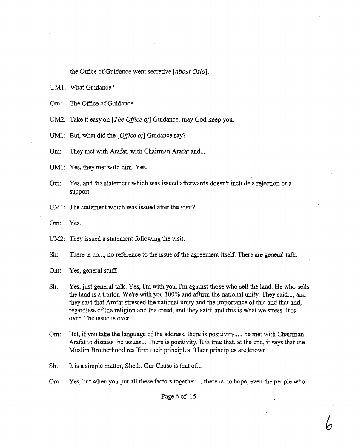the Office of Guidance went secretive *[about* Oslo]

UM1: What Guidance?

Om: The Office of Guidance.

UM2: Take it easy on [The Office of] Guidance, may God keep you.

UM1: But, what did the *[Office of*] Guidance say?

Om: They met with Arafat, with Chairman Arafat and...

UM1: Yes, they met with him. Yes.

- **Om:** Yes, and the statement which was issued afterwards doesn't include a rejection or a support.
- UM1: The statement which was issued after the visit?
- **Om:** Yes.

UM2: They issued a statement following the visit.

Sh: There is no..., no reference to the issue of the agreement itself. There are general talk.

Om: Yes, general stuff.

- Sh: Yes, just general talk. Yes, **I'm** with you. I'm against those who sell the land. He who sells the land is a traitor. We're with you 100% and affirm the national unity. They said ..., and they said that Arafat stressed the national unity and the importance of this and that and, regardless of the religion and the creed, and they said: and this is what we stress. It is over. The issue is over.
- **Om:** But, if you take the language of the address, there is positivity ...., he met with Chairman Arafat to discuss the issues ... There is positivity. It is true that, at the end, it says that the Muslim Brotherhood reaffirm their principles. Their principles are known.

Sh: It is a simple matter, Sheik. Our Cause is that of...

Om: Yes, but when you put all these factors together..., there is no hope, even the people who

Page 6 of 15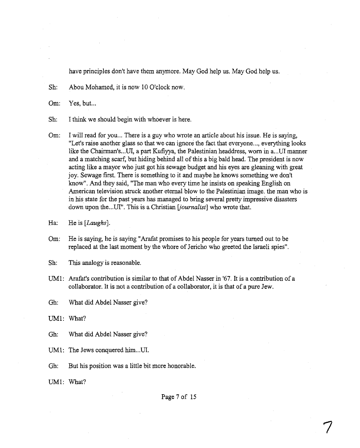have principles don't have them anymore. May God help us. May God help us.

Sh: Abou Mohamed, it is now 10 O'clock now.

Om: Yes, but...

Sh: I think we should begin with whoever is here.

Om: I will read for you... There is a guy who wrote an article about his issue. He is saying, "Let's raise another glass so that we can ignore the fact that everyone..,, everythmg looks like the Chairman's ... UI, a part Kufiyya, the Palestinian headdress, worn in a...UI manner and a matching scarf, but hiding behind all of this a big bald head. The president is now acting like a mayor who just got his sewage budget and his eyes are gleaning with great joy. Sewage first. There is something to it and maybe he knows something we don't know". And they said, "The **man** who every time he insists on speaking English on American television struck another eternal blow to the Palestinian image. the man who is in his state for the past years has managed to bring several pretty impressive disasters down upon the...UI". This is a Christian [journalist] who wrote that.

**Om:** He is saying, he is saying "Arafat promises to his people for years turned out to be replaced at the last moment by the whore of Jericho who greeted the Israeli spies",

Sh: This analogy is reasonable.

UM1: Arafat's contribution is similar to that of Abdel Nasser in '67. It is a contribution of a collaborator. It is not a contribution of a collaborator, it is that of a pure Jew.

Gh: What did Abdel Nasser give?

UM1: What?

Gh: What did Abdel Nasser give?

UM1: The Jews conquered him...UI.

Gh: But his position was a little bit more honorable.

UM1: **What?** 

Page **7** of 15

Ha: He is [*Laughs*].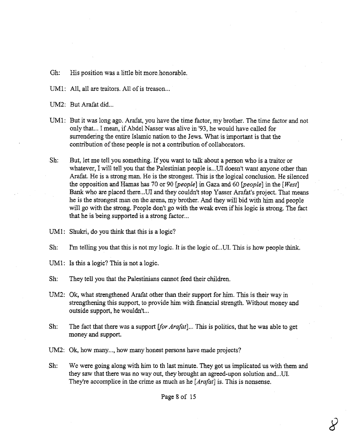Gh: His position was a little bit more, honorable.

UM1: All, all are traitors. All of is treason...

UM2: But Arafat did.,.

- UM1: But it was long ago. Arafat, you have the time factor, my brother. The time factor and not only that... I mean, if Abdel Nasser was alive in '93, he would have called for surrendering the entire Islamic nation to the Jews. What is important is that the contribution of these people is not a contribution of collaborators.
- Sh: But, let me tell you something. If you want to talk about a person who is a traitor or whatever, I will tell you that the Palestinian people is...UI doesn't want anyone other than Arafat. He is a strong man. He is the strongest. This is the logical conclusion. He silenced the opposition and Harnas has 70 or 90 *Ipeople]* in Gaza and 60 *[people]* in the *[West]*  Bank who are placed there... UI and they couldn't stop Yasser Arafat's project. That means he is the strongest man on the arena, my brother. And they will bid with him and people will go with the strong. People don't go with the weak even if his logic is strong. The fact that he is being supported is a strong factor...
- UM1: Shukri, do you think that this is a logic?
- Sh: I'm telling you that this is not my logic. It is the logic of. ..UI. This is how people think.
- UM1: Is this a logic? **This** is not a logic.
- Sh: They tell you that the Palestinians cannot feed their children.
- UM2: Ok, what strengthened Arafat other than their support for him. This is their way in strengthening this support, to provide him with financial strength. Without money and outside support, he wouldn't...
- Sh: The fact that there was a support [for Arafat] ... This is politics, that he was able to get money **and** support.
- UM2: Ok, how many..., how many honest persons have made projects?
- Sh: We were going along with him to th last **minute.** They got us implicated us with them **and**  they saw that there was no way out, they brought an agreed-upon solution and ... **UI.**  They're accomplice in the crime as much as he [Arafat] is. This is nonsense.

Page 8 of 15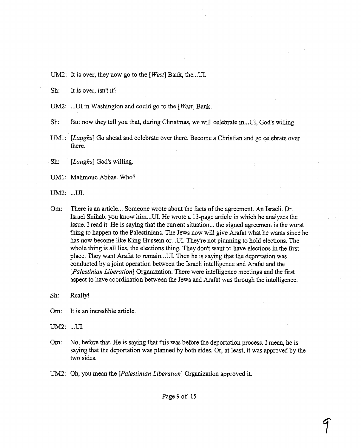UM2: It is over, they now go to the *[West*] Bank, the...UI.

Sh: It is over, isn't it?

UM2: ... UI in Washington and could go to the *[West]* Bank.

Sh: But now they tell you that, during Christmas, we will celebrate in..,UI, God's willing.

UM1: *[Laughs] Go* ahead and celebrate over there. Become a Christian and go celebrate over there.

Sh: *[Laughs]* God's willing.

UM1: Mahmoud Abbas. Who?

UM2: ...UI.

Om: There is **an** article ... Someone wrote about the facts of the agreement. **An** Israeli. Dr. Israel Shihab. you know him...UI. He wrote a 13-page article in which he analyzes the issue. I read it. He is saying that the current situation ... the signed agreement is the worst thing to happen to the Palestinians. The Jews now will give Arafat what he wants since he has now become like King Hussein or ... UI. They're not planning to hold elections. The whole thing is all lies, the elections thing. They don't want to have elections in the first place. They want Arafat to remain...U. Then he is saying that the deportation was conducted by a joint operation between the Israeli intelligence and Arafat and the *[Palestinian* **Liberation]** Organization. There were intelligence meetings and the first aspect to have coordination between the Jews and Arafat was through the intelligence.

Sh: Really!

Om: It is **an** incredible article.

UM2: ...UI.

Om: No, before that. He is saying that this was before the deportation process. I mean, he is saying that the deportation was planned by both sides. Or, at least, it was approved by the two sides.

UM2: Oh, you mean the *[Palestinian* **Liberation]** Organization approved it.

Page 9 of 15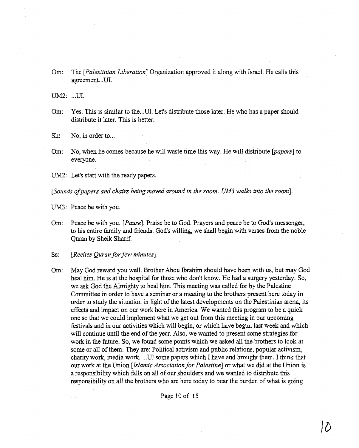**Om:** The *[Palestinian Liberation]* Organization approved it along with Israel. He calls this agreement.. **.UI.** 

**UM2:** ...**UI**.

Om: Yes. This is similar to the...UI. Let's distribute those later. He who has a paper should distribute it later. This is better.

Sh: No, in order to...

Om: No, when he comes because he will waste time this way. He will distribute *bapers]* to everyone.

UM2: Let's start with the ready papers.

*[Sounds ofpapers and chairs being* **moved** *around in* **the room.** *UM3 walks* **into** *the* **room].** 

UM3: Peace be with you.

**Om:** Peace be with you. *[Pause].* Praise be to God. Prayers and peace be to God's messenger, to his entire family and friends. God's willing, we shall begin with verses from the noble Quran by Sheik Sharif.

Ss: *[Recites Quran for* **few minutes].** 

Om: May God reward you well. Brother Abou Ibrahim should have been with us, but may God heal him. He is at the hospital for those who don't know. He had a surgery yesterday. So, we ask God the Almighty to heal him. This meeting was called for by the Palestine Committee in order to have a seminar or a meeting to the brothers present here today in order to study the situation in light of the latest developments on the Palestinian arena, its effects and impact on our work here in America. We wanted this program to be a quick one so that we could implement what we get out **from** this meeting in our upcoming festivals **and** in our activities which will begin, or which have begun last week and which will continue until the end of the year. Also, we wanted to present some strategies for work in the future. So, we found some points which we asked all the brothers to look at some or all of them. They are: Political activism and public relations, popular activism, charity work, media work. ... **UI** some papers which I have and brought them. I think that our work at the Union *[Islamic Association for Palestine]* or what we did at the Union is a responsibility which falls on all of ow shoulders **and** we wanted to distribute this responsibility on all the brothers who are here today to bear the burden of what is going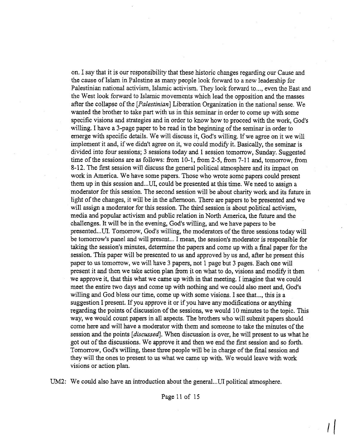on. I say that it is our responsibility that these historic changes regarding our Cause and the cause of Islam in Palestine as many people look fonvard to a new leadership for Palestinian national activism, Islamic activism. They look forward to..., even the East and the West look forward to Islamic movements which lead the opposition and the masses after the collapse of the *[Palestinian]* Liberation Organization in the national sense. We wanted the brother to take part with us in this seminar in order to come up with some specific visions and strategies and in order to know how to proceed with the work, God's willing. I have a 3-page paper to be read in the beginning of the seminar in order to emerge with specific details. We will discuss it, God's willing. If we agree on it we will implement it and, if we didn't agree on it, we could modify it. Basically, the seminar is divided into four sessions; 3 sessions today and 1 session tomorrow, Sunday. Suggested time of the sessions are as follows: from 10-1, from 2-5, from 7-11 and, tomorrow, from 8-12. The first session will discuss the general political atmosphere and its impact on work in America. We have some papers. Those who wrote some papers could present them up in this session and...UI, could be presented at this time. We need to assign a moderator for this session. The second session will be about charity work and its future in light of the changes, it will be in the afternoon. There are papers to be presented and we will assign a moderator for this session. The third session is about political activism, media and popular activism and public relation in North America, the future and the challenges. It will be in the evening, God's willing, and we have papers to be presented ... UI. Tomorrow, God's willing, the moderators of the three sessions today will be tomorrow's panel and will present... I mean, the session's moderator is responsible for taking the session's minutes, determine the papers and come up with a final paper for the session. This paper will be presented to us and approved by us and, after he present this paper to us tomorrow, we will have 3 papers, not 1 page but 3 pages. Each one will present it and then we take action plan from it on what to do, visions and modify it then we approve it, that this what we came up with in that meeting. I imagine that we could meet the entire two days and come up with nothing and we could also meet and, God's willing and God bless our time, come up with some visions. I see that..., this is a suggestion I present. If you approve it or if you have any modifications or anything regarding the points of discussion of the sessions, we would 10 minutes to the topic. This way, we would count papers in all aspects. The brothers who will submit papers should come here and will have a moderator with them and someone to take the minutes of the session and the points **[discussed].** When discussion is over, he will present to us what he got out of the discussions. We approve it and then we end the first session and so forth. Tomorrow, God's willing, these three people will be in charge of the final session and they will the ones to present to us what we came up with. We would leave with work visions or action plan.

UM2: We could also have an introduction about the general...UI political atmosphere.

## Page 11 of 15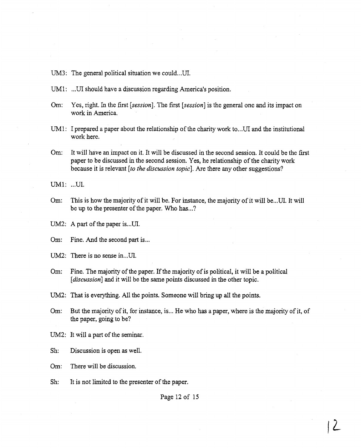UM3: The general political situation we could...UI.

- UM1: ...UI should have a discussion regarding America's position.
- **Om:** Yes, right. In the first [session]. The first *[session]* is the general one and its impact on work in America,
- UM1: I prepared a paper about the relationship of the charity work to...UI and the institutional work here.
- **Om:** It will have **an** impact on it. It will be discussed in the second session. It could be the first paper to be discussed in the second session. Yes, he relationship of the charity work because it is relevant [to *the discussion topic]. Are* there any other suggestions?

UM1: ...UI.

Om: This is how the majority of it will be. For instance, the majority of it will be...UI. It will be up to the presenter of the paper. Who has ...?

UM2: A part of the paper is...UI.

Om: Fine. And the second part is...

UM2: There is no sense in...UI.

**Om:** Fine. The majority of the paper. If the majority of is political, it will be a political [*discussion*] and it will be the same points discussed in the other topic.

**UM2:** That is everything. All the points. Someone will bring up all the points.

Om: But the majority of it, for instance, is... He who has a paper, where is the majority of it, of the paper, going to be?

UM2: It will a part of the seminar.

Sh: Discussion is open as well.

Om: There will be discussion.

Sh: It is not limited to the presenter of the paper.

Page 12 of **15**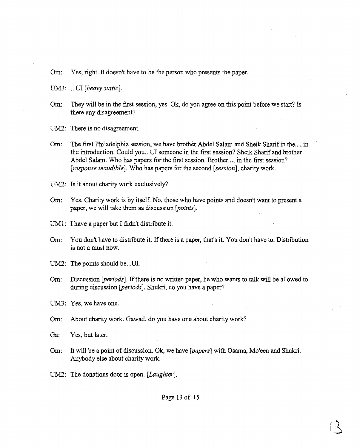**Om:** Yes, right. It doesn't have to be the person who presents the paper.

UM3: ...UI [heavy static].

**Om:** They will be in the first session, yes. Ok, do you agree on this point before we start? Is there any disagreement?

UM2: There is no disagreement.

Om: The first Philadelphia session, we have brother Abdel Salam and Sheik Sharif in the..., in the introduction. Could you ...UI someone in the first session? Sheik Sharif and brother Abdel Salam. Who has papers for the first session. Brother..., in the first session? [response *inaudible*]. Who has papers for the second [session], charity work.

UM2: Is it about charity work exclusively?

**Om:** Yes. Charity work is by itself. No, those who have points and doesn't want to present a paper, we will take them as discussion **[points].** 

UM1: I have a paper but I didn't distribute it.

Om: You don't have to distribute it. If there is a paper, that's it. You don't have to. Distribution is not a must now.

UM2: The points should be...UI.

**Om:** Discussion [periods]. If there is no written paper, he who wants to talk will be allowed to during discussion [periods]. Shukri, do you have a paper?

UM3: Yes, we have one.

**Om:** About charity work. Gawad, do you have one about charity work?

**Ga:** Yes, but later.

- Om: It will be a point of discussion. Ok, we have [*papers*] with Osama, Mo'een and Shukri. Anybody else about charity **work.**
- UM2: The donations door is open. *[Laughter].*

Page 13 of 15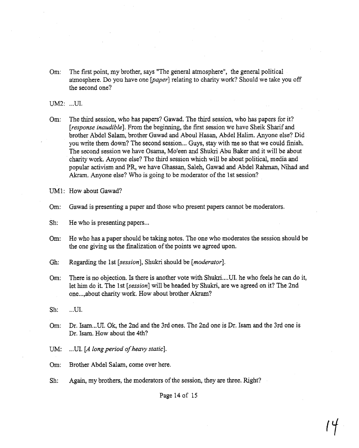**Om:** The first point, my brother, says "The general atmosphere", the general political atmosphere. Do you have one [paper] relating to charity work? Should we take you off the second one?

UM2: ...UI.

**Om:** The third session, who has papers? Gawad. The third session, who has papers for it? *[response* **inaudible].** From the beginning, the first session **we** have Sheik Sharif and brother Abdel Salarn, brother Gawad and Aboul Hasan, Abdel Halim. Anyone else? Did you write them down? The second session ... Guys, stay with me so that we could finish. The second session we have Osama, Mo'een and Shukri Abu Baker and it will be about charity work. Anyone else? The third session which will be about political, media and popular activism and PR, we have Ghassan, Saleh, Gawad and Abdel Rahman, Nihad and **Akram.** Anyone else? Who is going to be moderator of the 1st session?

UM1: How about Gawad?

Om: Gawad is presenting a paper and those who present papers cannot be moderators.

Sh: He who is presenting papers...

- Om: He who has a paper should be taking notes. The one who moderates the session should be the one giving us the finalization of the points we agreed upon.
- Gh: Regarding the 1st [session], Shukri should be *[moderator].*
- **Om:** There is no objection. Is there is another vote with Shukri .... **UI.** he who feels he can do it, let him do it. The 1st **[session]** will be headed by Shukri, are we agreed on it? The 2nd one ..., about charity work. How about brother **Akram?**

- Om: Dr. Isam... UI. Ok, the 2nd and the 3rd ones. The 2nd one is Dr. Isam and the 3rd one is Dr. Isam. How about the 4th?
- UM: ...UI. [A long period of heavy static].
- Om: Brother Abdel Salam, come over here.
- Sh: Again, my brothers, the moderators of the session, they are three. Right?

Page 14 of 15

 $\mathsf{Sh:} \qquad ... \mathsf{UI}.$